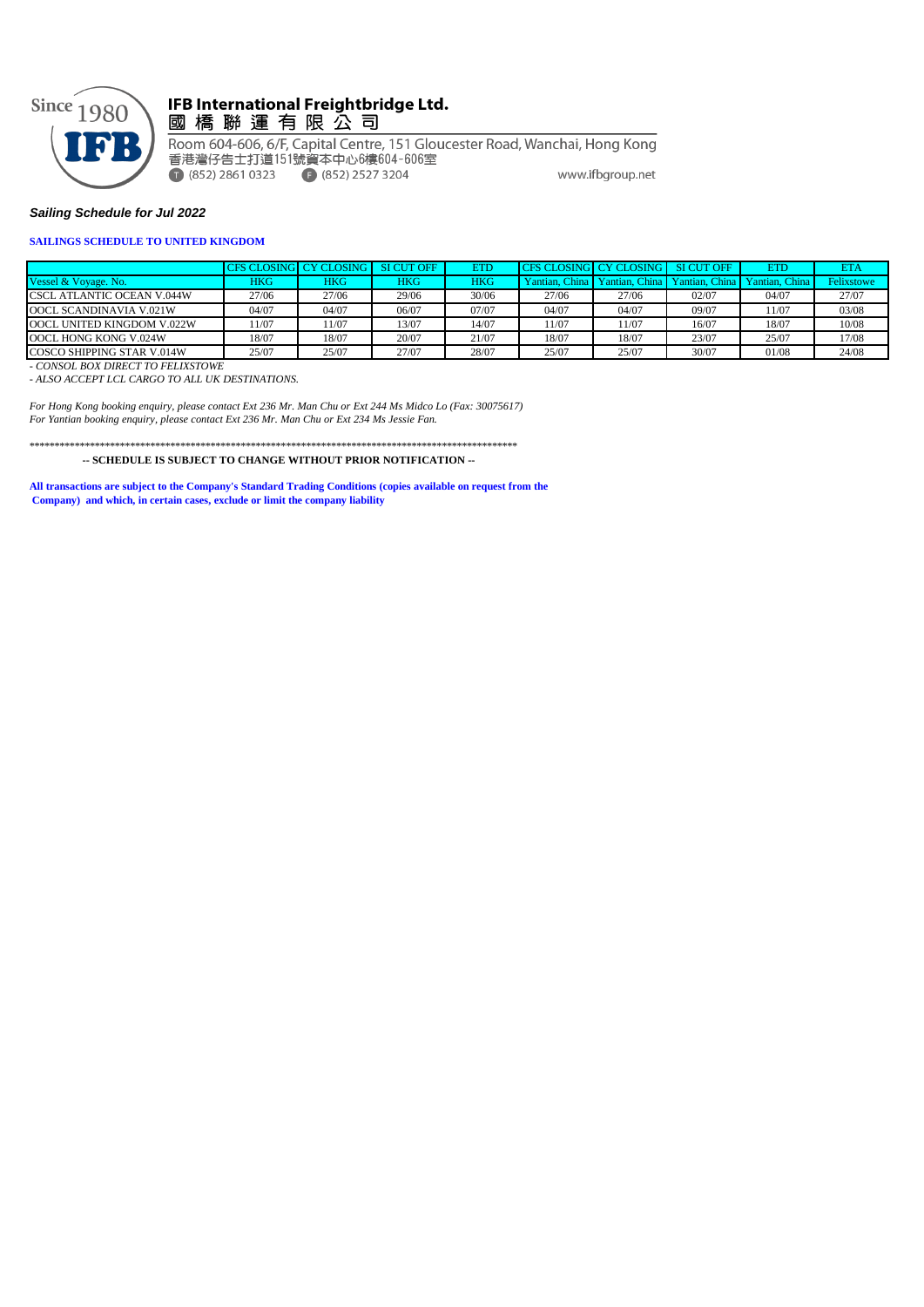

## lFB International Freightbridge Ltd.<br>國 橋 聯 運 有 限 公 司

Room 604-606, 6/F, Capital Centre, 151 Gloucester Road, Wanchai, Hong Kong 香港灣仔告士打道151號資本中心6樓604-606室  $(852)$  2861 0323  $(852)$  2527 3204 www.ifbgroup.net

#### *Sailing Schedule for Jul 2022*

#### **SAILINGS SCHEDULE TO UNITED KINGDOM**

|                                   |       | CES CLOSINGL CY CLOSING L | SI CUT OFF | <b>ETD</b> | CFS CLOSING CY CLOSING SI CUT OFF |                |                | ETD            | <b>ETA</b> |
|-----------------------------------|-------|---------------------------|------------|------------|-----------------------------------|----------------|----------------|----------------|------------|
| Vessel & Voyage, No.              | HKG   | <b>HKG</b>                | HKG        | HKG        | Yantian, China                    | Yantian, China | Yantian, China | Yantian, China | Felixstowe |
| <b>CSCL ATLANTIC OCEAN V.044W</b> | 27/06 | 27/06                     | 29/06      | 30/06      | 27/06                             | 27/06          | 02/07          | 04/07          | 27/07      |
| OOCL SCANDINAVIA V.021W           | 04/07 | 04/07                     | 06/07      | 07/07      | 04/07                             | 04/07          | 09/07          | 1/07           | 03/08      |
| OOCL UNITED KINGDOM V.022W        | 11/07 | 1/07                      | 13/07      | 14/07      | 11/07                             | 11/07          | 16/07          | 18/07          | 10/08      |
| OOCL HONG KONG V.024W             | 18/07 | 18/07                     | 20/07      | 21/07      | 18/07                             | 18/07          | 23/07          | 25/07          | 17/08      |
| COSCO SHIPPING STAR V.014W        | 25/07 | 25/07                     | 27/07      | 28/07      | 25/07                             | 25/07          | 30/07          | 01/08          | 24/08      |

*- CONSOL BOX DIRECT TO FELIXSTOWE*

*- ALSO ACCEPT LCL CARGO TO ALL UK DESTINATIONS.*

*For Hong Kong booking enquiry, please contact Ext 236 Mr. Man Chu or Ext 244 Ms Midco Lo (Fax: 30075617) For Yantian booking enquiry, please contact Ext 236 Mr. Man Chu or Ext 234 Ms Jessie Fan.*

\*\*\*\*\*\*\*\*\*\*\*\*\*\*\*\*\*\*\*\*\*\*\*\*\*\*\*\*\*\*\*\*\*\*\*\*\*\*\*\*\*\*\*\*\*\*\*\*\*\*\*\*\*\*\*\*\*\*\*\*\*\*\*\*\*\*\*\*\*\*\*\*\*\*\*\*\*\*\*\*\*\*\*\*\*\*\*\*\*\*\*\*\*\*\*\*\*  **-- SCHEDULE IS SUBJECT TO CHANGE WITHOUT PRIOR NOTIFICATION --**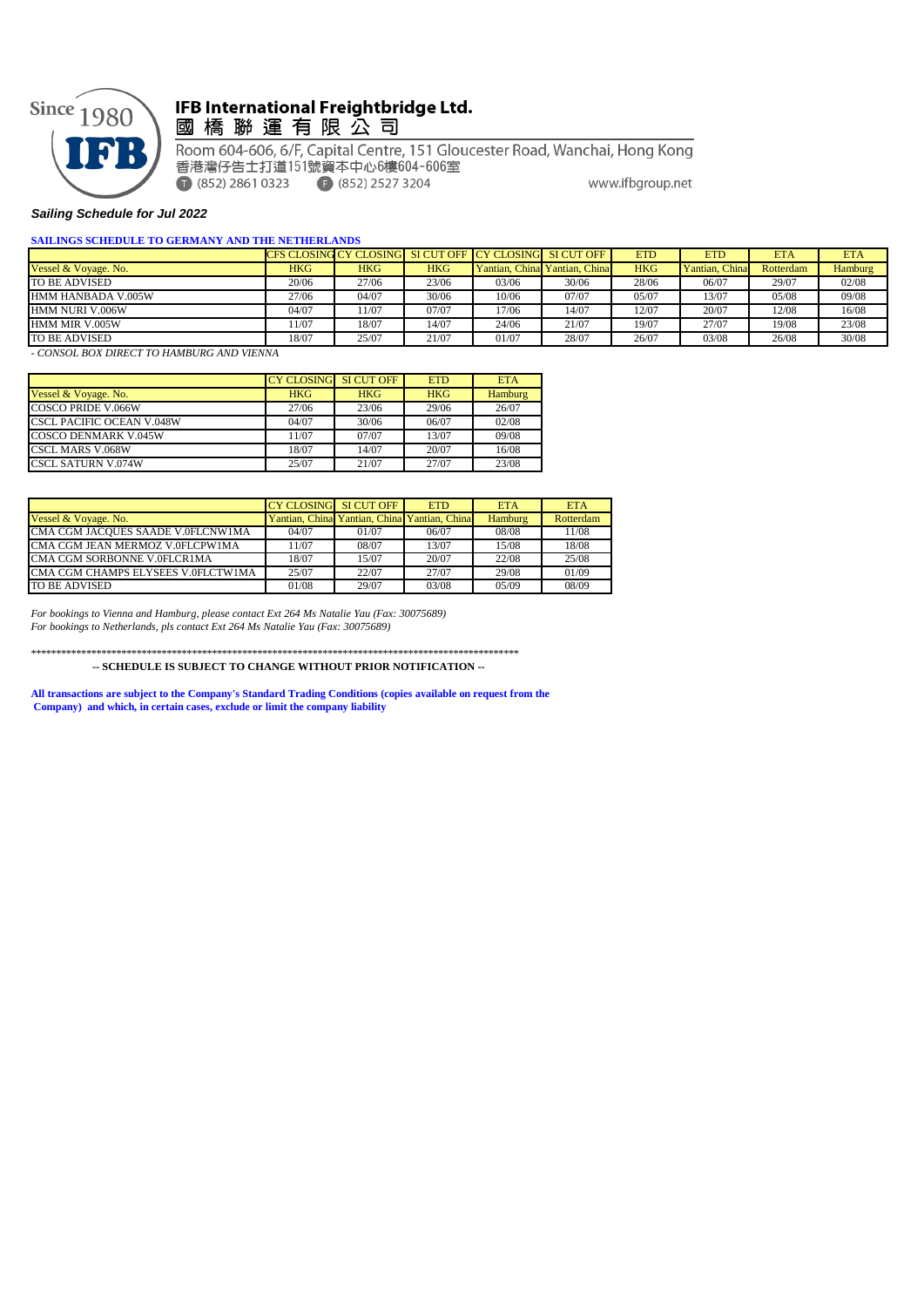

## IFB International Freightbridge Ltd. 國橋聯運有限公司

Room 604-606, 6/F, Capital Centre, 151 Gloucester Road, Wanchai, Hong Kong 香港灣仔告士打道151號資本中心6樓604-606室  $(852)$  2861 0323  $(852)$  2527 3204 www.ifbgroup.net

#### *Sailing Schedule for Jul 2022*

#### **SAILINGS SCHEDULE TO GERMANY AND THE NETHERLANDS**

|                      |            |       |            | CFS CLOSING CY CLOSING SI CUT OFF CY CLOSING SI CUT OFF |                                | <b>ETD</b> | <b>ETD</b>     | <b>ETA</b> | <b>ETA</b>     |
|----------------------|------------|-------|------------|---------------------------------------------------------|--------------------------------|------------|----------------|------------|----------------|
| Vessel & Voyage. No. | <b>HKG</b> | HKG   | <b>HKG</b> |                                                         | Yantian, Chinal Yantian, China | <b>HKG</b> | Yantian, China | Rotterdam  | <b>Hamburg</b> |
| TO BE ADVISED        | 20/06      | 27/06 | 23/06      | 03/06                                                   | 30/06                          | 28/06      | 06/07          | 29/07      | 02/08          |
| HMM HANBADA V.005W   | 27/06      | 04/07 | 30/06      | 10/06                                                   | 07/07                          | 05/07      | 13/07          | 05/08      | 09/08          |
| HMM NURI V.006W      | 04/07      | 1/07  | 07/07      | 17/06                                                   | 14/07                          | 12/07      | 20/07          | 12/08      | 16/08          |
| HMM MIR V.005W       | 1/07       | 18/07 | 14/07      | 24/06                                                   | 21/07                          | 19/07      | 27/07          | 19/08      | 23/08          |
| TO BE ADVISED        | 18/07      | 25/07 | 21/07      | 01/07                                                   | 28/07                          | 26/07      | 03/08          | 26/08      | 30/08          |

*- CONSOL BOX DIRECT TO HAMBURG AND VIENNA*

|                                  | <b>CY CLOSING SI CUT OFF</b> |            | <b>ETD</b> | <b>ETA</b>     |
|----------------------------------|------------------------------|------------|------------|----------------|
| Vessel & Voyage. No.             | <b>HKG</b>                   | <b>HKG</b> | <b>HKG</b> | <b>Hamburg</b> |
| <b>COSCO PRIDE V.066W</b>        | 27/06                        | 23/06      | 29/06      | 26/07          |
| <b>CSCL PACIFIC OCEAN V.048W</b> | 04/07                        | 30/06      | 06/07      | 02/08          |
| <b>COSCO DENMARK V.045W</b>      | 11/07                        | 07/07      | 13/07      | 09/08          |
| <b>CSCL MARS V.068W</b>          | 18/07                        | 14/07      | 20/07      | 16/08          |
| <b>CSCL SATURN V.074W</b>        | 25/07                        | 21/07      | 27/07      | 23/08          |

|                                    | CY CLOSING SI CUT OFF |                                              | <b>ETD</b> | <b>ETA</b> | <b>ETA</b> |
|------------------------------------|-----------------------|----------------------------------------------|------------|------------|------------|
| Vessel & Voyage. No.               |                       | Yantian, China Yantian, China Yantian, China |            | Hamburg    | Rotterdam  |
| CMA CGM JACOUES SAADE V.0FLCNW1MA  | 04/07                 | 01/07                                        | 06/07      | 08/08      | 11/08      |
| CMA CGM JEAN MERMOZ V.0FLCPW1MA    | 11/07                 | 08/07                                        | 13/07      | 15/08      | 18/08      |
| CMA CGM SORBONNE V.0FLCR1MA        | 18/07                 | 15/07                                        | 20/07      | 22/08      | 25/08      |
| CMA CGM CHAMPS ELYSEES V.0FLCTW1MA | 25/07                 | 22/07                                        | 27/07      | 29/08      | 01/09      |
| TO BE ADVISED                      | 01/08                 | 29/07                                        | 03/08      | 05/09      | 08/09      |

*For bookings to Vienna and Hamburg, please contact Ext 264 Ms Natalie Yau (Fax: 30075689) For bookings to Netherlands, pls contact Ext 264 Ms Natalie Yau (Fax: 30075689)*

\*\*\*\*\*\*\*\*\*\*\*\*\*\*\*\*\*\*\*\*\*\*\*\*\*\*\*\*\*\*\*\*\*\*\*\*\*\*\*\*\*\*\*\*\*\*\*\*\*\*\*\*\*\*\*\*\*\*\*\*\*\*\*\*\*\*\*\*\*\*\*\*\*\*\*\*\*\*\*\*\*\*\*\*\*\*\*\*\*\*\*\*\*\*\*\*\*

 **-- SCHEDULE IS SUBJECT TO CHANGE WITHOUT PRIOR NOTIFICATION --**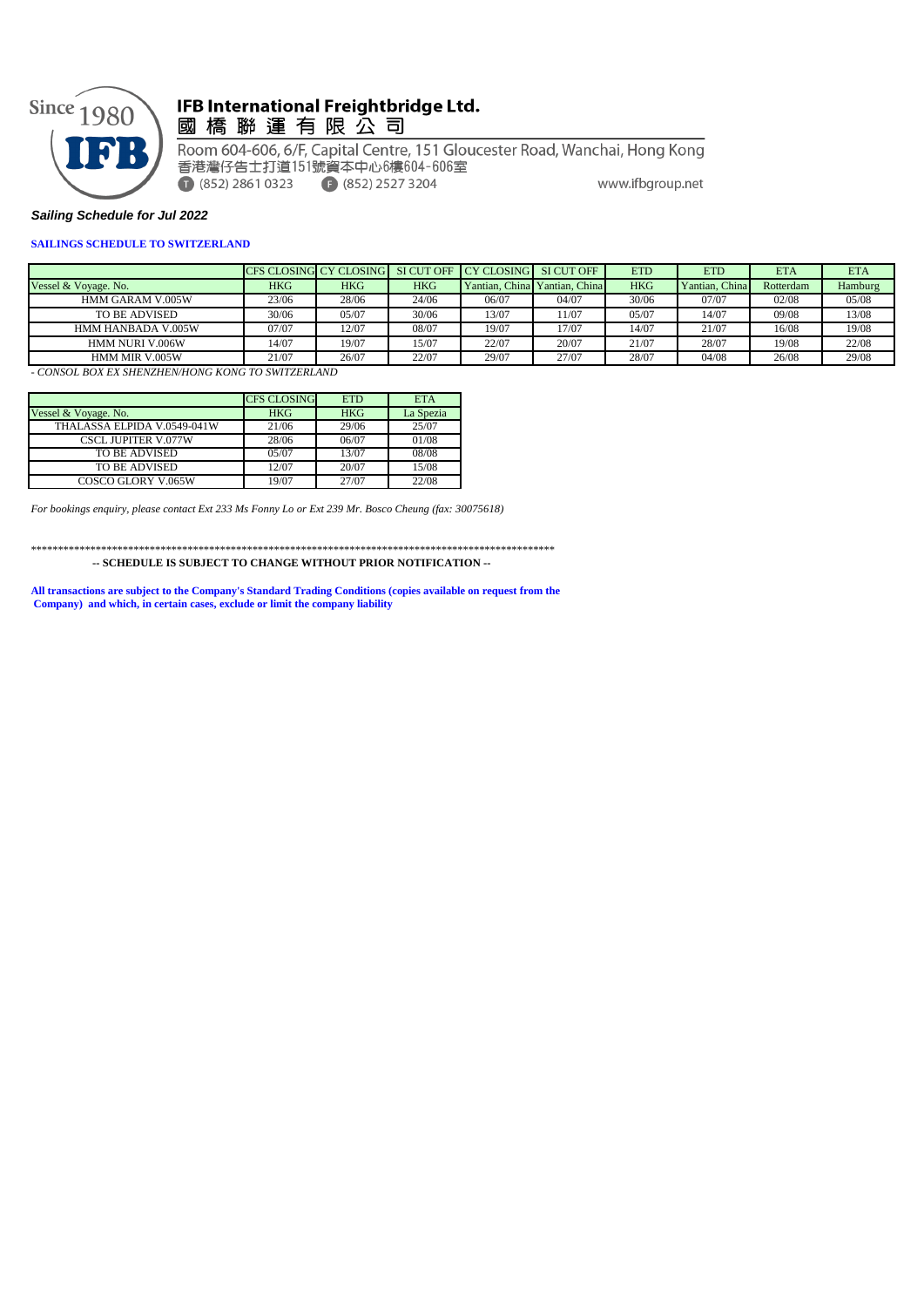

## IFB International Freightbridge Ltd. 國 橋 聯 運 有 限 公 司

Room 604-606, 6/F, Capital Centre, 151 Gloucester Road, Wanchai, Hong Kong 香港灣仔告士打道151號資本中心6樓604-606室  $(852)$  2861 0323  $(852)$  2527 3204 www.ifbgroup.net

### *Sailing Schedule for Jul 2022*

#### **SAILINGS SCHEDULE TO SWITZERLAND**

|                         |       | CFS CLOSING CY CLOSING |            | SI CUT OFF I CY CLOSING SI CUT OFF |                               | <b>ETD</b> | <b>ETD</b>     | ETA       | <b>ETA</b> |
|-------------------------|-------|------------------------|------------|------------------------------------|-------------------------------|------------|----------------|-----------|------------|
| Vessel & Voyage. No.    | HKG   | HKG                    | <b>HKG</b> |                                    | Yantian, China Yantian, China | <b>HKG</b> | Yantian, China | Rotterdam | Hamburg    |
| <b>HMM GARAM V.005W</b> | 23/06 | 28/06                  | 24/06      | 06/07                              | 04/07                         | 30/06      | 07/07          | 02/08     | 05/08      |
| TO BE ADVISED           | 30/06 | 05/07                  | 30/06      | 13/07                              | 11/07                         | 05/07      | 4/07           | 09/08     | 13/08      |
| HMM HANBADA V.005W      | 07/07 | 12/07                  | 08/07      | 19/07                              | 17/07                         | 14/07      | 21/07          | 16/08     | 19/08      |
| HMM NURI V.006W         | 14/07 | 19/07                  | 15/07      | 22/07                              | 20/07                         | 21/07      | 28/07          | 19/08     | 22/08      |
| HMM MIR V.005W          | 21/07 | 26/07                  | 22/07      | 29/07                              | 27/07                         | 28/07      | 04/08          | 26/08     | 29/08      |

*- CONSOL BOX EX SHENZHEN/HONG KONG TO SWITZERLAND*

|                             | <b>CFS CLOSING</b> | <b>ETD</b> | <b>ETA</b> |
|-----------------------------|--------------------|------------|------------|
| Vessel & Voyage. No.        | <b>HKG</b>         | <b>HKG</b> | La Spezia  |
| THALASSA ELPIDA V.0549-041W | 21/06              | 29/06      | 25/07      |
| <b>CSCL JUPITER V.077W</b>  | 28/06              | 06/07      | 01/08      |
| TO BE ADVISED               | 0.5/07             | 13/07      | 08/08      |
| TO BE ADVISED               | 12/07              | 20/07      | 15/08      |
| COSCO GLORY V.065W          | 19/07              | 27/07      | 22/08      |

*For bookings enquiry, please contact Ext 233 Ms Fonny Lo or Ext 239 Mr. Bosco Cheung (fax: 30075618)*

\*\*\*\*\*\*\*\*\*\*\*\*\*\*\*\*\*\*\*\*\*\*\*\*\*\*\*\*\*\*\*\*\*\*\*\*\*\*\*\*\*\*\*\*\*\*\*\*\*\*\*\*\*\*\*\*\*\*\*\*\*\*\*\*\*\*\*\*\*\*\*\*\*\*\*\*\*\*\*\*\*\*\*\*\*\*\*\*\*\*\*\*\*\*\*\*\*  **-- SCHEDULE IS SUBJECT TO CHANGE WITHOUT PRIOR NOTIFICATION --**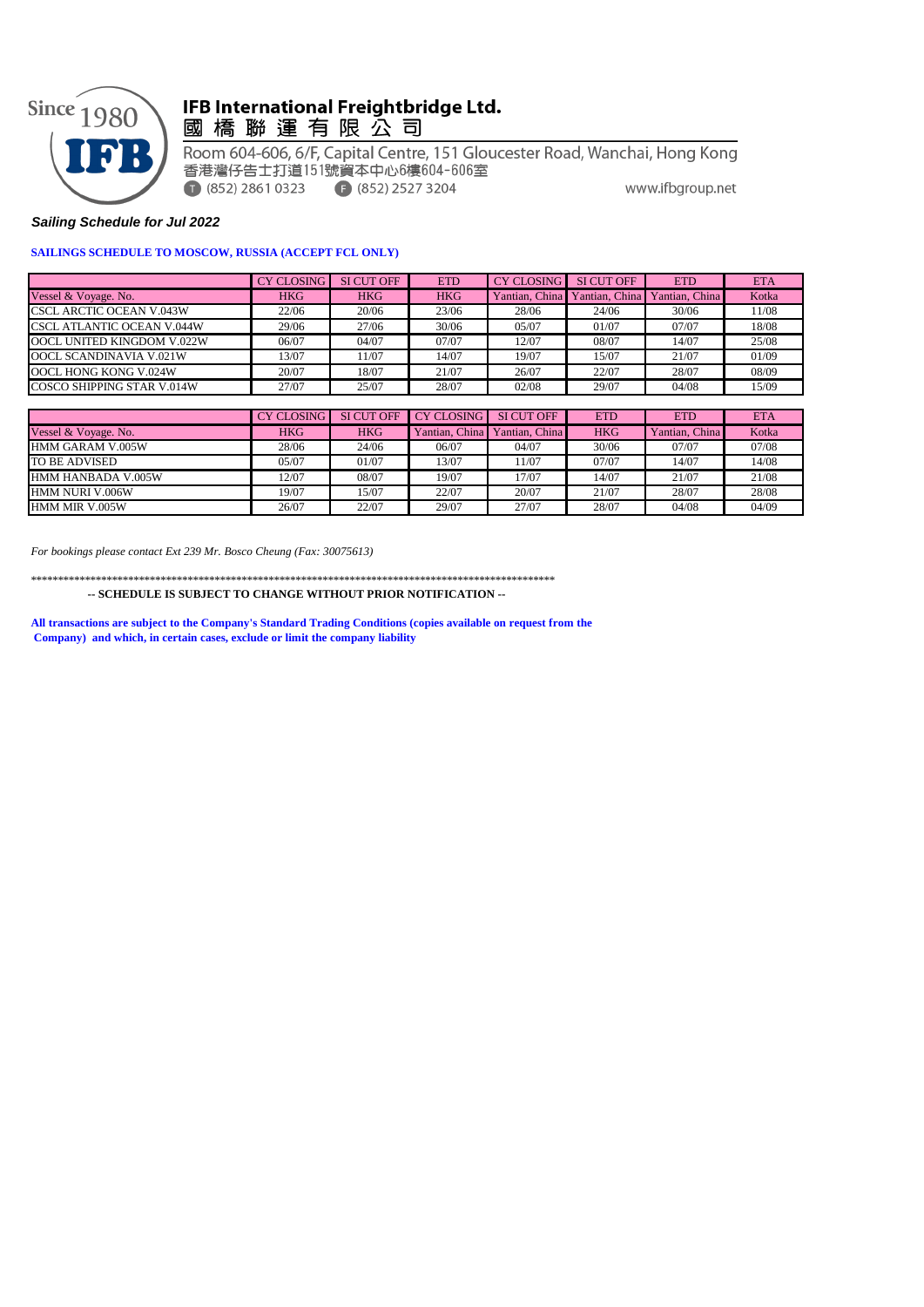

## IFB International Freightbridge Ltd. 國 橋 聯 運 有 限 公 司

Room 604-606, 6/F, Capital Centre, 151 Gloucester Road, Wanchai, Hong Kong 香港灣仔告士打道151號資本中心6樓604-606室  $(852)$  2861 0323  $(852)$  2527 3204 www.ifbgroup.net

## *Sailing Schedule for Jul 2022*

## **SAILINGS SCHEDULE TO MOSCOW, RUSSIA (ACCEPT FCL ONLY)**

|                                 | <b>CY CLOSING</b> | <b>SI CUT OFF</b> | <b>ETD</b> | CY CLOSING     | SI CUT OFF     | <b>ETD</b>     | <b>ETA</b> |
|---------------------------------|-------------------|-------------------|------------|----------------|----------------|----------------|------------|
| Vessel & Voyage. No.            | <b>HKG</b>        | <b>HKG</b>        | <b>HKG</b> | Yantian, China | Yantian, China | Yantian, China | Kotka      |
| <b>CSCL ARCTIC OCEAN V.043W</b> | 22/06             | 20/06             | 23/06      | 28/06          | 24/06          | 30/06          | 11/08      |
| CSCL ATLANTIC OCEAN V.044W      | 29/06             | 27/06             | 30/06      | 05/07          | 01/07          | 07/07          | 18/08      |
| OOCL UNITED KINGDOM V.022W      | 06/07             | 04/07             | 07/07      | 12/07          | 08/07          | 14/07          | 25/08      |
| OOCL SCANDINAVIA V.021W         | 13/07             | 11/07             | 14/07      | 19/07          | 15/07          | 21/07          | 01/09      |
| OOCL HONG KONG V.024W           | 20/07             | 18/07             | 21/07      | 26/07          | 22/07          | 28/07          | 08/09      |
| COSCO SHIPPING STAR V.014W      | 27/07             | 25/07             | 28/07      | 02/08          | 29/07          | 04/08          | 15/09      |

|                      | <b>CY CLOSING</b> | SI CUT OFF | <b>CY CLOSING</b> | <b>SI CUT OFF</b> | <b>ETD</b> | <b>ETD</b>     | <b>ETA</b> |
|----------------------|-------------------|------------|-------------------|-------------------|------------|----------------|------------|
| Vessel & Voyage. No. | <b>HKG</b>        | <b>HKG</b> | Yantian, China    | Yantian, China    | <b>HKG</b> | Yantian, China | Kotka      |
| HMM GARAM V.005W     | 28/06             | 24/06      | 06/07             | 04/07             | 30/06      | 07/07          | 07/08      |
| TO BE ADVISED        | 05/07             | 01/07      | 13/07             | 11/07             | 07/07      | 14/07          | 14/08      |
| HMM HANBADA V.005W   | 12/07             | 08/07      | 19/07             | 17/07             | 14/07      | 21/07          | 21/08      |
| HMM NURI V.006W      | 19/07             | 15/07      | 22/07             | 20/07             | 21/07      | 28/07          | 28/08      |
| HMM MIR V.005W       | 26/07             | 22/07      | 29/07             | 27/07             | 28/07      | 04/08          | 04/09      |

*For bookings please contact Ext 239 Mr. Bosco Cheung (Fax: 30075613)*

\*\*\*\*\*\*\*\*\*\*\*\*\*\*\*\*\*\*\*\*\*\*\*\*\*\*\*\*\*\*\*\*\*\*\*\*\*\*\*\*\*\*\*\*\*\*\*\*\*\*\*\*\*\*\*\*\*\*\*\*\*\*\*\*\*\*\*\*\*\*\*\*\*\*\*\*\*\*\*\*\*\*\*\*\*\*\*\*\*\*\*\*\*\*\*\*\*

 **-- SCHEDULE IS SUBJECT TO CHANGE WITHOUT PRIOR NOTIFICATION --**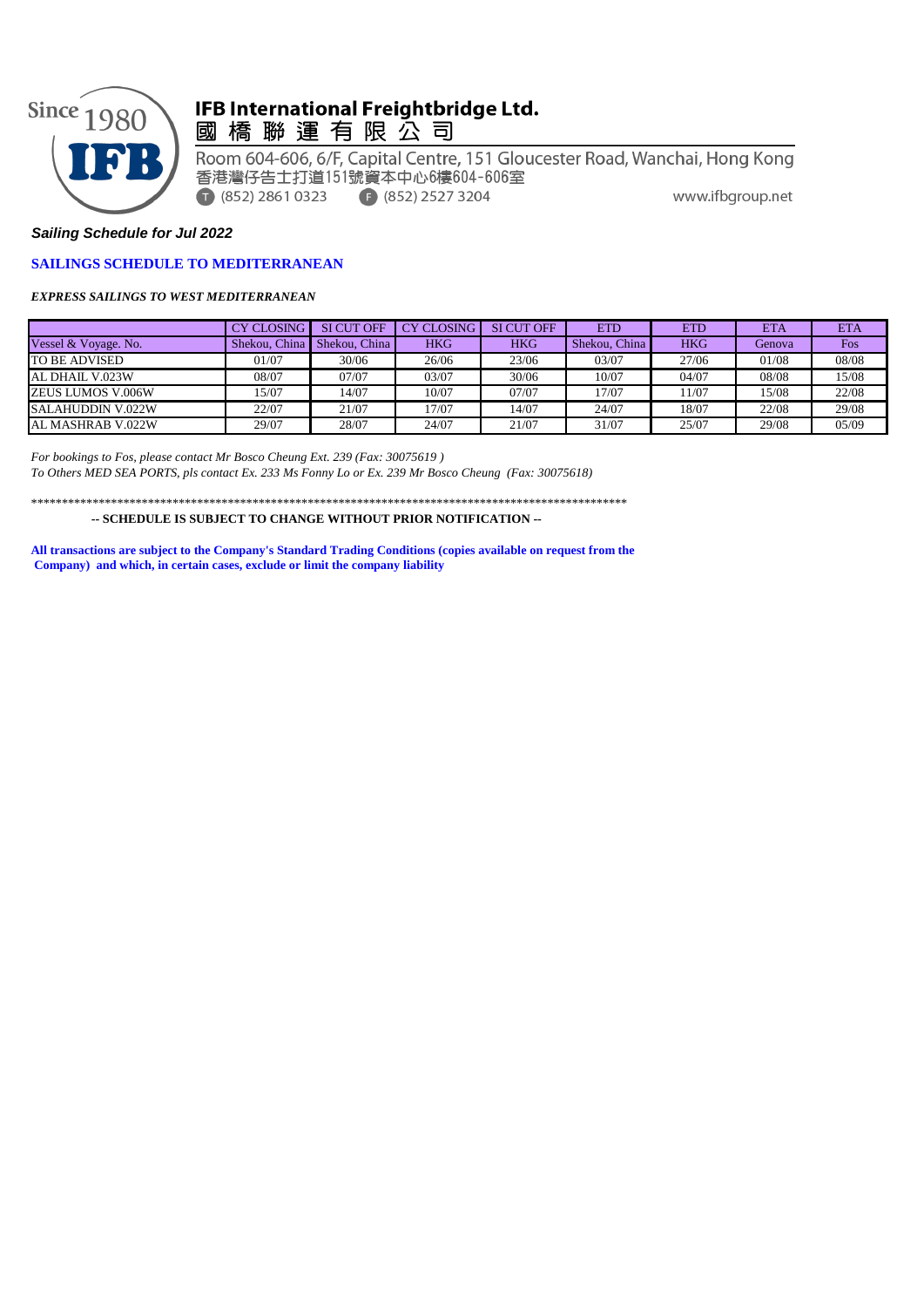

## IFB International Freightbridge Ltd. 國橋聯運有限公司

Room 604-606, 6/F, Capital Centre, 151 Gloucester Road, Wanchai, Hong Kong 香港灣仔告士打道151號資本中心6樓604-606室 www.ifbgroup.net  $\bigcap$  (852) 2861 0323  $\bigoplus$  (852) 2527 3204

## *Sailing Schedule for Jul 2022*

## **SAILINGS SCHEDULE TO MEDITERRANEAN**

*EXPRESS SAILINGS TO WEST MEDITERRANEAN*

|                      | <b>CY CLOSING</b> | <b>SI CUT OFF</b> | <b>CY CLOSING</b> | <b>SI CUT OFF</b> | <b>ETD</b>    | <b>ETD</b> | <b>ETA</b> | ETA        |
|----------------------|-------------------|-------------------|-------------------|-------------------|---------------|------------|------------|------------|
| Vessel & Voyage. No. | Shekou, China     | Shekou, China     | <b>HKG</b>        | HKG               | Shekou, China | <b>HKG</b> | Genova     | <b>Fos</b> |
| <b>TO BE ADVISED</b> | 01/07             | 30/06             | 26/06             | 23/06             | 03/07         | 27/06      | 01/08      | 08/08      |
| AL DHAIL V.023W      | 08/07             | 07/07             | 03/07             | 30/06             | 10/07         | 04/07      | 08/08      | 15/08      |
| ZEUS LUMOS V.006W    | 15/07             | 14/07             | 10/07             | 07/07             | 17/07         | 11/07      | 15/08      | 22/08      |
| SALAHUDDIN V.022W    | 22/07             | 21/07             | 17/07             | 14/07             | 24/07         | 18/07      | 22/08      | 29/08      |
| AL MASHRAB V.022W    | 29/07             | 28/07             | 24/07             | 21/07             | 31/07         | 25/07      | 29/08      | 05/09      |

*For bookings to Fos, please contact Mr Bosco Cheung Ext. 239 (Fax: 30075619 ) To Others MED SEA PORTS, pls contact Ex. 233 Ms Fonny Lo or Ex. 239 Mr Bosco Cheung (Fax: 30075618)*

\*\*\*\*\*\*\*\*\*\*\*\*\*\*\*\*\*\*\*\*\*\*\*\*\*\*\*\*\*\*\*\*\*\*\*\*\*\*\*\*\*\*\*\*\*\*\*\*\*\*\*\*\*\*\*\*\*\*\*\*\*\*\*\*\*\*\*\*\*\*\*\*\*\*\*\*\*\*\*\*\*\*\*\*\*\*\*\*\*\*\*\*\*\*\*\*\*

 **-- SCHEDULE IS SUBJECT TO CHANGE WITHOUT PRIOR NOTIFICATION --**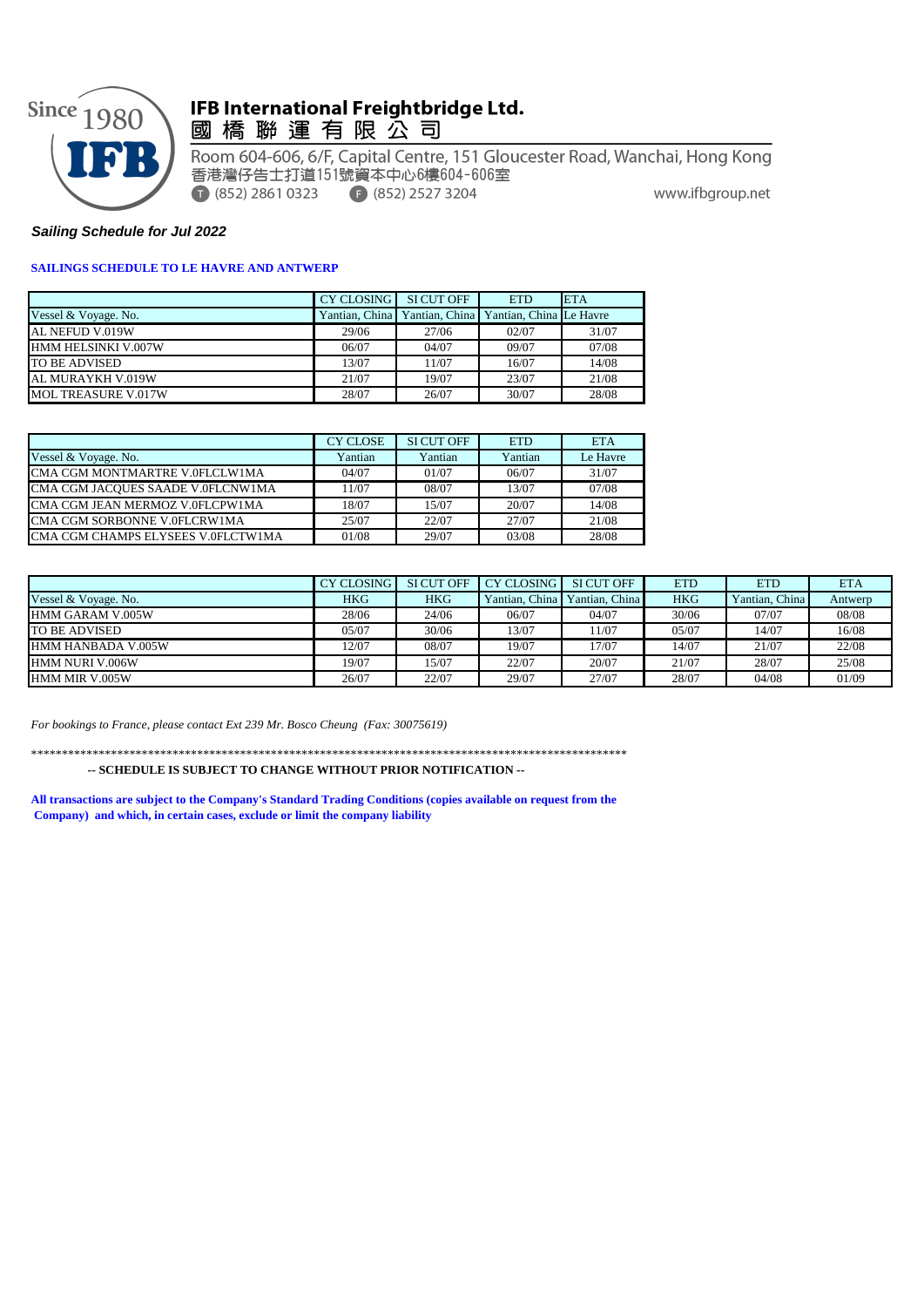

# IFB International Freightbridge Ltd.<br>國 橋 聯 運 有 限 公 司

Room 604-606, 6/F, Capital Centre, 151 Gloucester Road, Wanchai, Hong Kong 香港灣仔告士打道151號資本中心6樓604-606室  $\bigcirc$  (852) 2861 0323  $\bigodot$  (852) 2527 3204 www.ifbgroup.net

## *Sailing Schedule for Jul 2022*

## **SAILINGS SCHEDULE TO LE HAVRE AND ANTWERP**

|                      | CY CLOSING | SI CUT OFF                                            | <b>ETD</b> | <b>ETA</b> |
|----------------------|------------|-------------------------------------------------------|------------|------------|
| Vessel & Voyage. No. |            | Yantian, China Yantian, China Yantian, China Le Havre |            |            |
| AL NEFUD V.019W      | 29/06      | 27/06                                                 | 02/07      | 31/07      |
| HMM HELSINKI V.007W  | 06/07      | 04/07                                                 | 09/07      | 07/08      |
| <b>TO BE ADVISED</b> | 13/07      | 11/07                                                 | 16/07      | 14/08      |
| AL MURAYKH V.019W    | 21/07      | 19/07                                                 | 23/07      | 21/08      |
| MOL TREASURE V.017W  | 28/07      | 26/07                                                 | 30/07      | 28/08      |

|                                    | <b>CY CLOSE</b> | SI CUT OFF | <b>ETD</b> | <b>ETA</b> |
|------------------------------------|-----------------|------------|------------|------------|
| Vessel & Voyage. No.               | Yantian         | Yantian    | Yantian    | Le Havre   |
| CMA CGM MONTMARTRE V.0FLCLW1MA     | 04/07           | 01/07      | 06/07      | 31/07      |
| CMA CGM JACOUES SAADE V.0FLCNW1MA  | 11/07           | 08/07      | 13/07      | 07/08      |
| CMA CGM JEAN MERMOZ V.0FLCPW1MA    | 18/07           | 15/07      | 20/07      | 14/08      |
| CMA CGM SORBONNE V.0FLCRW1MA       | 25/07           | 22/07      | 27/07      | 21/08      |
| CMA CGM CHAMPS ELYSEES V.0FLCTW1MA | 01/08           | 29/07      | 03/08      | 28/08      |

|                           | <b>CY CLOSING</b> | <b>SI CUT OFF</b> | <b>CY CLOSING</b> | SI CUT OFF     | <b>ETD</b> | <b>ETD</b>     | <b>ETA</b> |
|---------------------------|-------------------|-------------------|-------------------|----------------|------------|----------------|------------|
| Vessel & Voyage. No.      | HKG               | <b>HKG</b>        | Yantian, China    | Yantian, China | <b>HKG</b> | Yantian, China | Antwerp    |
| HMM GARAM V.005W          | 28/06             | 24/06             | 06/07             | 04/07          | 30/06      | 07/07          | 08/08      |
| <b>TO BE ADVISED</b>      | 05/07             | 30/06             | 13/07             | 11/07          | 05/07      | 14/07          | 16/08      |
| <b>HMM HANBADA V.005W</b> | 12/07             | 08/07             | 19/07             | 17/07          | 14/07      | 21/07          | 22/08      |
| <b>HMM NURI V.006W</b>    | 19/07             | 5/07              | 22/07             | 20/07          | 21/07      | 28/07          | 25/08      |
| HMM MIR V.005W            | 26/07             | 22/07             | 29/07             | 27/07          | 28/07      | 04/08          | 01/09      |

*For bookings to France, please contact Ext 239 Mr. Bosco Cheung (Fax: 30075619)*

\*\*\*\*\*\*\*\*\*\*\*\*\*\*\*\*\*\*\*\*\*\*\*\*\*\*\*\*\*\*\*\*\*\*\*\*\*\*\*\*\*\*\*\*\*\*\*\*\*\*\*\*\*\*\*\*\*\*\*\*\*\*\*\*\*\*\*\*\*\*\*\*\*\*\*\*\*\*\*\*\*\*\*\*\*\*\*\*\*\*\*\*\*\*\*\*\*

 **-- SCHEDULE IS SUBJECT TO CHANGE WITHOUT PRIOR NOTIFICATION --**